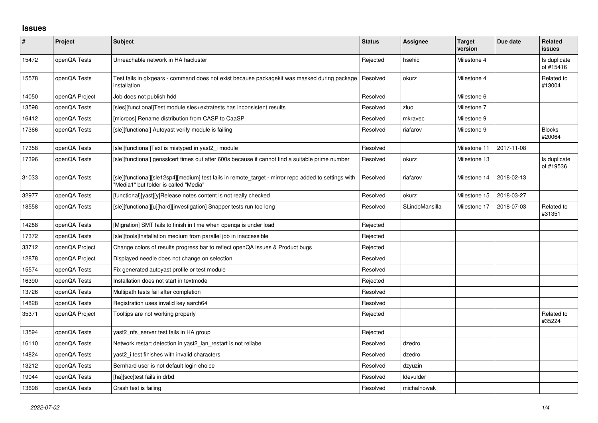## **Issues**

| $\sharp$ | <b>Project</b> | <b>Subject</b>                                                                                                                                | <b>Status</b> | <b>Assignee</b> | <b>Target</b><br>version | Due date   | Related<br>issues         |
|----------|----------------|-----------------------------------------------------------------------------------------------------------------------------------------------|---------------|-----------------|--------------------------|------------|---------------------------|
| 15472    | openQA Tests   | Unreachable network in HA hacluster                                                                                                           | Rejected      | hsehic          | Milestone 4              |            | Is duplicate<br>of #15416 |
| 15578    | openQA Tests   | Test fails in glxgears - command does not exist because packagekit was masked during package<br>installation                                  | Resolved      | okurz           | Milestone 4              |            | Related to<br>#13004      |
| 14050    | openQA Project | Job does not publish hdd                                                                                                                      | Resolved      |                 | Milestone 6              |            |                           |
| 13598    | openQA Tests   | [sles][functional]Test module sles+extratests has inconsistent results                                                                        | Resolved      | zluo            | Milestone 7              |            |                           |
| 16412    | openQA Tests   | [microos] Rename distribution from CASP to CaaSP                                                                                              | Resolved      | mkravec         | Milestone 9              |            |                           |
| 17366    | openQA Tests   | [sle][functional] Autoyast verify module is failing                                                                                           | Resolved      | riafarov        | Milestone 9              |            | <b>Blocks</b><br>#20064   |
| 17358    | openQA Tests   | [sle][functional]Text is mistyped in yast2_i module                                                                                           | Resolved      |                 | Milestone 11             | 2017-11-08 |                           |
| 17396    | openQA Tests   | [sle][functional] gensslcert times out after 600s because it cannot find a suitable prime number                                              | Resolved      | okurz           | Milestone 13             |            | Is duplicate<br>of #19536 |
| 31033    | openQA Tests   | [sle][functional][sle12sp4][medium] test fails in remote_target - mirror repo added to settings with<br>"Media1" but folder is called "Media" | Resolved      | riafarov        | Milestone 14             | 2018-02-13 |                           |
| 32977    | openQA Tests   | [functional][yast][y]Release notes content is not really checked                                                                              | Resolved      | okurz           | Milestone 15             | 2018-03-27 |                           |
| 18558    | openQA Tests   | [sle][functional][u][hard][investigation] Snapper tests run too long                                                                          | Resolved      | SLindoMansilla  | Milestone 17             | 2018-07-03 | Related to<br>#31351      |
| 14288    | openQA Tests   | [Migration] SMT fails to finish in time when openga is under load                                                                             | Rejected      |                 |                          |            |                           |
| 17372    | openQA Tests   | [sle][tools]Installation medium from parallel job in inaccessible                                                                             | Rejected      |                 |                          |            |                           |
| 33712    | openQA Project | Change colors of results progress bar to reflect openQA issues & Product bugs                                                                 | Rejected      |                 |                          |            |                           |
| 12878    | openQA Project | Displayed needle does not change on selection                                                                                                 | Resolved      |                 |                          |            |                           |
| 15574    | openQA Tests   | Fix generated autoyast profile or test module                                                                                                 | Resolved      |                 |                          |            |                           |
| 16390    | openQA Tests   | Installation does not start in textmode                                                                                                       | Rejected      |                 |                          |            |                           |
| 13726    | openQA Tests   | Multipath tests fail after completion                                                                                                         | Resolved      |                 |                          |            |                           |
| 14828    | openQA Tests   | Registration uses invalid key aarch64                                                                                                         | Resolved      |                 |                          |            |                           |
| 35371    | openQA Project | Tooltips are not working properly                                                                                                             | Rejected      |                 |                          |            | Related to<br>#35224      |
| 13594    | openQA Tests   | yast2 nfs server test fails in HA group                                                                                                       | Rejected      |                 |                          |            |                           |
| 16110    | openQA Tests   | Network restart detection in yast2 lan restart is not reliabe                                                                                 | Resolved      | dzedro          |                          |            |                           |
| 14824    | openQA Tests   | yast2 i test finishes with invalid characters                                                                                                 | Resolved      | dzedro          |                          |            |                           |
| 13212    | openQA Tests   | Bernhard user is not default login choice                                                                                                     | Resolved      | dzyuzin         |                          |            |                           |
| 19044    | openQA Tests   | [ha][scc]test fails in drbd                                                                                                                   | Resolved      | Idevulder       |                          |            |                           |
| 13698    | openQA Tests   | Crash test is failing                                                                                                                         | Resolved      | michalnowak     |                          |            |                           |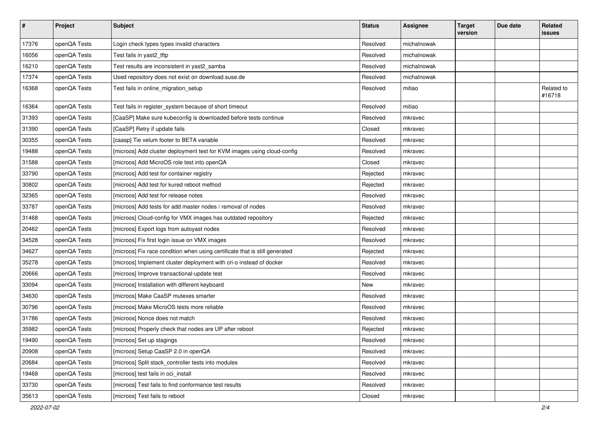| $\vert$ # | Project      | <b>Subject</b>                                                              | <b>Status</b> | <b>Assignee</b> | <b>Target</b><br>version | Due date | Related<br>issues    |
|-----------|--------------|-----------------------------------------------------------------------------|---------------|-----------------|--------------------------|----------|----------------------|
| 17376     | openQA Tests | Login check types types invalid characters                                  | Resolved      | michalnowak     |                          |          |                      |
| 16056     | openQA Tests | Test fails in yast2_tftp                                                    | Resolved      | michalnowak     |                          |          |                      |
| 16210     | openQA Tests | Test results are inconsistent in yast2_samba                                | Resolved      | michalnowak     |                          |          |                      |
| 17374     | openQA Tests | Used repository does not exist on download.suse.de                          | Resolved      | michalnowak     |                          |          |                      |
| 16368     | openQA Tests | Test fails in online_migration_setup                                        | Resolved      | mitiao          |                          |          | Related to<br>#16718 |
| 16364     | openQA Tests | Test fails in register_system because of short timeout                      | Resolved      | mitiao          |                          |          |                      |
| 31393     | openQA Tests | [CaaSP] Make sure kubeconfig is downloaded before tests continue            | Resolved      | mkravec         |                          |          |                      |
| 31390     | openQA Tests | [CaaSP] Retry if update fails                                               | Closed        | mkravec         |                          |          |                      |
| 30355     | openQA Tests | [caasp] Tie velum footer to BETA variable                                   | Resolved      | mkravec         |                          |          |                      |
| 19488     | openQA Tests | [microos] Add cluster deployment test for KVM images using cloud-config     | Resolved      | mkravec         |                          |          |                      |
| 31588     | openQA Tests | [microos] Add MicroOS role test into openQA                                 | Closed        | mkravec         |                          |          |                      |
| 33790     | openQA Tests | [microos] Add test for container registry                                   | Rejected      | mkravec         |                          |          |                      |
| 30802     | openQA Tests | [microos] Add test for kured reboot method                                  | Rejected      | mkravec         |                          |          |                      |
| 32365     | openQA Tests | [microos] Add test for release notes                                        | Resolved      | mkravec         |                          |          |                      |
| 33787     | openQA Tests | [microos] Add tests for add master nodes / removal of nodes                 | Resolved      | mkravec         |                          |          |                      |
| 31468     | openQA Tests | [microos] Cloud-config for VMX images has outdated repository               | Rejected      | mkravec         |                          |          |                      |
| 20462     | openQA Tests | [microos] Export logs from autoyast nodes                                   | Resolved      | mkravec         |                          |          |                      |
| 34528     | openQA Tests | [microos] Fix first login issue on VMX images                               | Resolved      | mkravec         |                          |          |                      |
| 34627     | openQA Tests | [microos] Fix race condition when using certificate that is still generated | Rejected      | mkravec         |                          |          |                      |
| 35278     | openQA Tests | [microos] Implement cluster deployment with cri-o instead of docker         | Resolved      | mkravec         |                          |          |                      |
| 20666     | openQA Tests | [microos] Improve transactional-update test                                 | Resolved      | mkravec         |                          |          |                      |
| 33094     | openQA Tests | [microos] Installation with different keyboard                              | New           | mkravec         |                          |          |                      |
| 34630     | openQA Tests | [microos] Make CaaSP mutexes smarter                                        | Resolved      | mkravec         |                          |          |                      |
| 30796     | openQA Tests | [microos] Make MicroOS tests more reliable                                  | Resolved      | mkravec         |                          |          |                      |
| 31786     | openQA Tests | [microos] Nonce does not match                                              | Resolved      | mkravec         |                          |          |                      |
| 35982     | openQA Tests | [microos] Properly check that nodes are UP after reboot                     | Rejected      | mkravec         |                          |          |                      |
| 19490     | openQA Tests | [microos] Set up stagings                                                   | Resolved      | mkravec         |                          |          |                      |
| 20908     | openQA Tests | [microos] Setup CaaSP 2.0 in openQA                                         | Resolved      | mkravec         |                          |          |                      |
| 20684     | openQA Tests | [microos] Split stack_controller tests into modules                         | Resolved      | mkravec         |                          |          |                      |
| 19468     | openQA Tests | [microos] test fails in oci_install                                         | Resolved      | mkravec         |                          |          |                      |
| 33730     | openQA Tests | [microos] Test fails to find conformance test results                       | Resolved      | mkravec         |                          |          |                      |
| 35613     | openQA Tests | [microos] Test fails to reboot                                              | Closed        | mkravec         |                          |          |                      |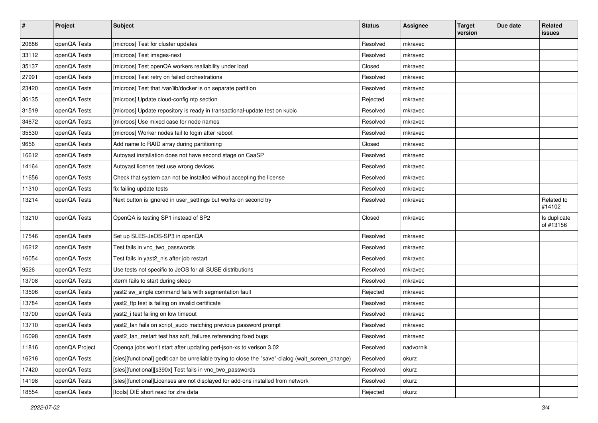| $\pmb{\#}$ | Project        | <b>Subject</b>                                                                                    | <b>Status</b> | <b>Assignee</b> | <b>Target</b><br>version | Due date | Related<br>issues         |
|------------|----------------|---------------------------------------------------------------------------------------------------|---------------|-----------------|--------------------------|----------|---------------------------|
| 20686      | openQA Tests   | [microos] Test for cluster updates                                                                | Resolved      | mkravec         |                          |          |                           |
| 33112      | openQA Tests   | [microos] Test images-next                                                                        | Resolved      | mkravec         |                          |          |                           |
| 35137      | openQA Tests   | [microos] Test openQA workers realiability under load                                             | Closed        | mkravec         |                          |          |                           |
| 27991      | openQA Tests   | [microos] Test retry on failed orchestrations                                                     | Resolved      | mkravec         |                          |          |                           |
| 23420      | openQA Tests   | [microos] Test that /var/lib/docker is on separate partition                                      | Resolved      | mkravec         |                          |          |                           |
| 36135      | openQA Tests   | [microos] Update cloud-config ntp section                                                         | Rejected      | mkravec         |                          |          |                           |
| 31519      | openQA Tests   | [microos] Update repository is ready in transactional-update test on kubic                        | Resolved      | mkravec         |                          |          |                           |
| 34672      | openQA Tests   | [microos] Use mixed case for node names                                                           | Resolved      | mkravec         |                          |          |                           |
| 35530      | openQA Tests   | [microos] Worker nodes fail to login after reboot                                                 | Resolved      | mkravec         |                          |          |                           |
| 9656       | openQA Tests   | Add name to RAID array during partitioning                                                        | Closed        | mkravec         |                          |          |                           |
| 16612      | openQA Tests   | Autoyast installation does not have second stage on CaaSP                                         | Resolved      | mkravec         |                          |          |                           |
| 14164      | openQA Tests   | Autoyast license test use wrong devices                                                           | Resolved      | mkravec         |                          |          |                           |
| 11656      | openQA Tests   | Check that system can not be installed without accepting the license                              | Resolved      | mkravec         |                          |          |                           |
| 11310      | openQA Tests   | fix failing update tests                                                                          | Resolved      | mkravec         |                          |          |                           |
| 13214      | openQA Tests   | Next button is ignored in user_settings but works on second try                                   | Resolved      | mkravec         |                          |          | Related to<br>#14102      |
| 13210      | openQA Tests   | OpenQA is testing SP1 instead of SP2                                                              | Closed        | mkravec         |                          |          | Is duplicate<br>of #13156 |
| 17546      | openQA Tests   | Set up SLES-JeOS-SP3 in openQA                                                                    | Resolved      | mkravec         |                          |          |                           |
| 16212      | openQA Tests   | Test fails in vnc_two_passwords                                                                   | Resolved      | mkravec         |                          |          |                           |
| 16054      | openQA Tests   | Test fails in yast2_nis after job restart                                                         | Resolved      | mkravec         |                          |          |                           |
| 9526       | openQA Tests   | Use tests not specific to JeOS for all SUSE distributions                                         | Resolved      | mkravec         |                          |          |                           |
| 13708      | openQA Tests   | xterm fails to start during sleep                                                                 | Resolved      | mkravec         |                          |          |                           |
| 13596      | openQA Tests   | yast2 sw_single command fails with segmentation fault                                             | Rejected      | mkravec         |                          |          |                           |
| 13784      | openQA Tests   | yast2_ftp test is failing on invalid certificate                                                  | Resolved      | mkravec         |                          |          |                           |
| 13700      | openQA Tests   | yast2_i test failing on low timeout                                                               | Resolved      | mkravec         |                          |          |                           |
| 13710      | openQA Tests   | yast2_lan fails on script_sudo matching previous password prompt                                  | Resolved      | mkravec         |                          |          |                           |
| 16098      | openQA Tests   | yast2_lan_restart test has soft_failures referencing fixed bugs                                   | Resolved      | mkravec         |                          |          |                           |
| 11816      | openQA Project | Openqa jobs won't start after updating perl-json-xs to verison 3.02                               | Resolved      | nadvornik       |                          |          |                           |
| 16216      | openQA Tests   | [sles][functional] gedit can be unreliable trying to close the "save"-dialog (wait_screen_change) | Resolved      | okurz           |                          |          |                           |
| 17420      | openQA Tests   | [sles][functional][s390x] Test fails in vnc two passwords                                         | Resolved      | okurz           |                          |          |                           |
| 14198      | openQA Tests   | [sles][functional]Licenses are not displayed for add-ons installed from network                   | Resolved      | okurz           |                          |          |                           |
| 18554      | openQA Tests   | [tools] DIE short read for zire data                                                              | Rejected      | okurz           |                          |          |                           |